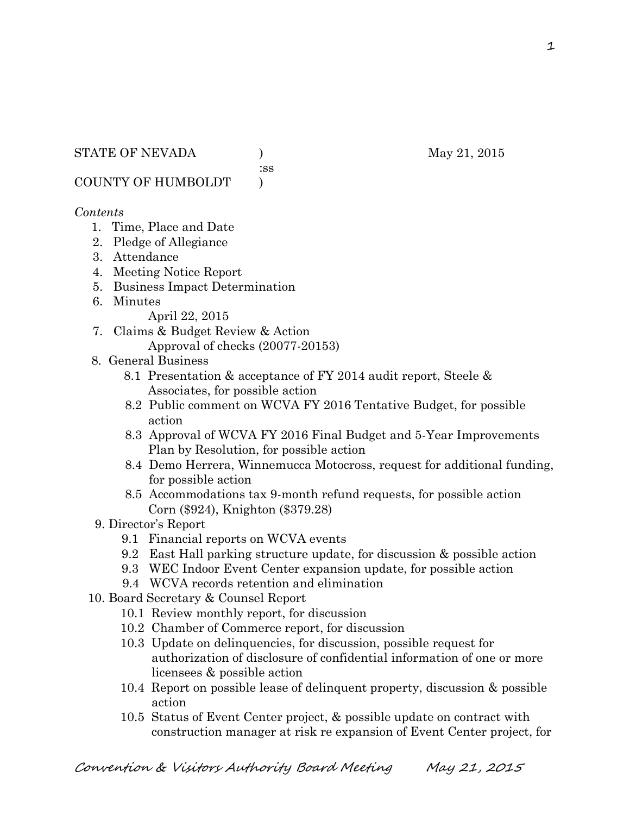:ss

COUNTY OF HUMBOLDT )

### *Contents*

- 1. Time, Place and Date
- 2. Pledge of Allegiance
- 3. Attendance
- 4. Meeting Notice Report
- 5. Business Impact Determination
- 6. Minutes

April 22, 2015

- 7. Claims & Budget Review & Action Approval of checks (20077-20153)
- 8. General Business
	- 8.1 Presentation & acceptance of FY 2014 audit report, Steele & Associates, for possible action
	- 8.2 Public comment on WCVA FY 2016 Tentative Budget, for possible action
	- 8.3 Approval of WCVA FY 2016 Final Budget and 5-Year Improvements Plan by Resolution, for possible action
	- 8.4 Demo Herrera, Winnemucca Motocross, request for additional funding, for possible action
	- 8.5 Accommodations tax 9-month refund requests, for possible action Corn (\$924), Knighton (\$379.28)
- 9. Director's Report
	- 9.1 Financial reports on WCVA events
	- 9.2 East Hall parking structure update, for discussion & possible action
	- 9.3 WEC Indoor Event Center expansion update, for possible action
	- 9.4 WCVA records retention and elimination
- 10. Board Secretary & Counsel Report
	- 10.1 Review monthly report, for discussion
	- 10.2 Chamber of Commerce report, for discussion
	- 10.3 Update on delinquencies, for discussion, possible request for authorization of disclosure of confidential information of one or more licensees & possible action
	- 10.4 Report on possible lease of delinquent property, discussion & possible action
	- 10.5 Status of Event Center project, & possible update on contract with construction manager at risk re expansion of Event Center project, for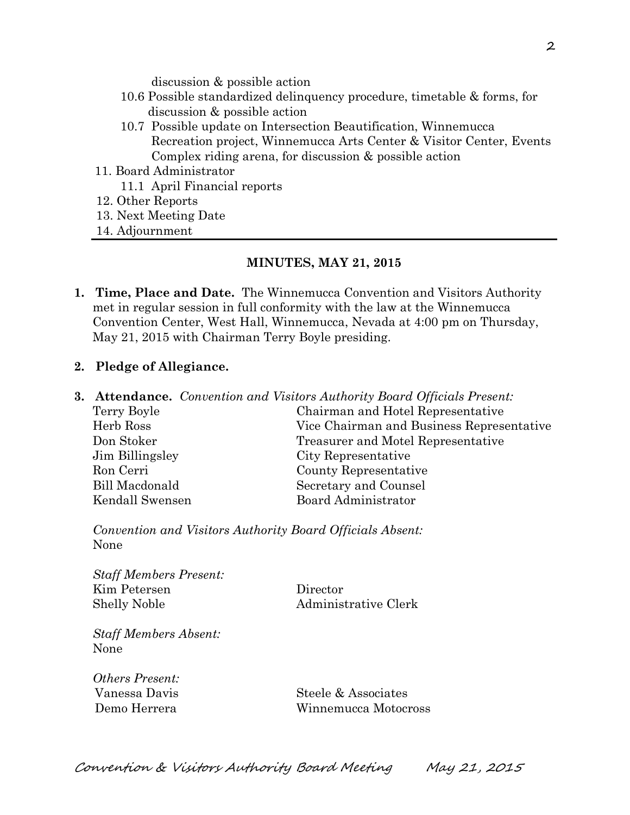discussion & possible action

- 10.6 Possible standardized delinquency procedure, timetable & forms, for discussion & possible action
- 10.7 Possible update on Intersection Beautification, Winnemucca Recreation project, Winnemucca Arts Center & Visitor Center, Events Complex riding arena, for discussion & possible action
- 11. Board Administrator
	- 11.1 April Financial reports
- 12. Other Reports
- 13. Next Meeting Date
- 14. Adjournment

#### **MINUTES, MAY 21, 2015**

**1. Time, Place and Date.** The Winnemucca Convention and Visitors Authority met in regular session in full conformity with the law at the Winnemucca Convention Center, West Hall, Winnemucca, Nevada at 4:00 pm on Thursday, May 21, 2015 with Chairman Terry Boyle presiding.

#### **2. Pledge of Allegiance.**

**3. Attendance.** *Convention and Visitors Authority Board Officials Present:*  Terry Boyle Chairman and Hotel Representative Herb Ross Vice Chairman and Business Representative Don Stoker Treasurer and Motel Representative Jim Billingsley City Representative Ron Cerri County Representative Bill Macdonald Secretary and Counsel Kendall Swensen Board Administrator

*Convention and Visitors Authority Board Officials Absent:*  None

*Staff Members Present:*  Kim Petersen Director Shelly Noble Administrative Clerk

*Staff Members Absent:*  None

*Others Present:* 

 Vanessa Davis Steele & Associates Demo Herrera Winnemucca Motocross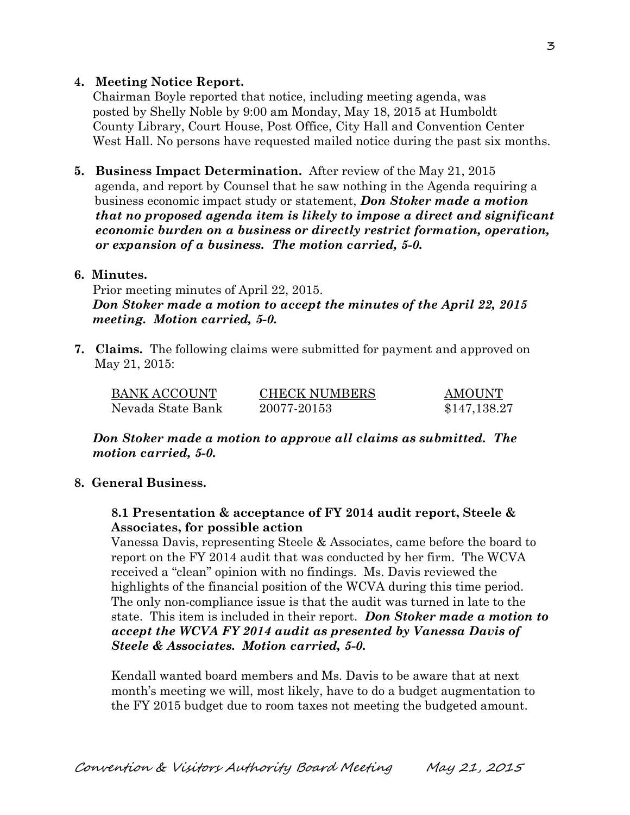## **4. Meeting Notice Report.**

Chairman Boyle reported that notice, including meeting agenda, was posted by Shelly Noble by 9:00 am Monday, May 18, 2015 at Humboldt County Library, Court House, Post Office, City Hall and Convention Center West Hall. No persons have requested mailed notice during the past six months.

**5. Business Impact Determination.** After review of the May 21, 2015 agenda, and report by Counsel that he saw nothing in the Agenda requiring a business economic impact study or statement, *Don Stoker made a motion that no proposed agenda item is likely to impose a direct and significant economic burden on a business or directly restrict formation, operation, or expansion of a business. The motion carried, 5-0.* 

#### **6. Minutes.**

Prior meeting minutes of April 22, 2015. *Don Stoker made a motion to accept the minutes of the April 22, 2015 meeting. Motion carried, 5-0.* 

**7. Claims.** The following claims were submitted for payment and approved on May 21, 2015:

| BANK ACCOUNT      | <b>CHECK NUMBERS</b> | AMOUNT       |
|-------------------|----------------------|--------------|
| Nevada State Bank | 20077-20153          | \$147,138.27 |

*Don Stoker made a motion to approve all claims as submitted. The motion carried, 5-0.* 

### **8. General Business.**

### **8.1 Presentation & acceptance of FY 2014 audit report, Steele & Associates, for possible action**

Vanessa Davis, representing Steele & Associates, came before the board to report on the FY 2014 audit that was conducted by her firm. The WCVA received a "clean" opinion with no findings. Ms. Davis reviewed the highlights of the financial position of the WCVA during this time period. The only non-compliance issue is that the audit was turned in late to the state. This item is included in their report. *Don Stoker made a motion to accept the WCVA FY 2014 audit as presented by Vanessa Davis of Steele & Associates. Motion carried, 5-0.* 

Kendall wanted board members and Ms. Davis to be aware that at next month's meeting we will, most likely, have to do a budget augmentation to the FY 2015 budget due to room taxes not meeting the budgeted amount.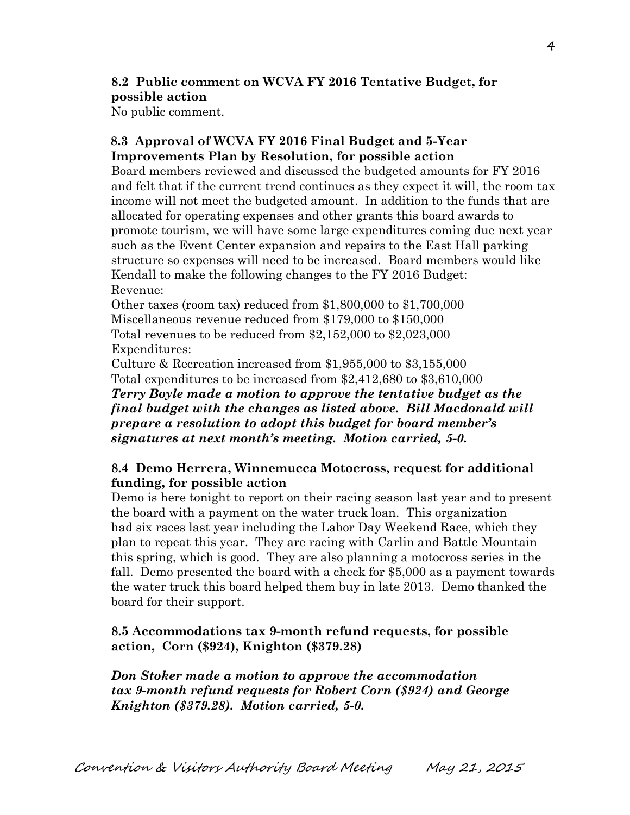# **8.2 Public comment on WCVA FY 2016 Tentative Budget, for possible action**

No public comment.

## **8.3 Approval of WCVA FY 2016 Final Budget and 5-Year Improvements Plan by Resolution, for possible action**

Board members reviewed and discussed the budgeted amounts for FY 2016 and felt that if the current trend continues as they expect it will, the room tax income will not meet the budgeted amount. In addition to the funds that are allocated for operating expenses and other grants this board awards to promote tourism, we will have some large expenditures coming due next year such as the Event Center expansion and repairs to the East Hall parking structure so expenses will need to be increased. Board members would like Kendall to make the following changes to the FY 2016 Budget: Revenue:

Other taxes (room tax) reduced from \$1,800,000 to \$1,700,000 Miscellaneous revenue reduced from \$179,000 to \$150,000 Total revenues to be reduced from \$2,152,000 to \$2,023,000 Expenditures:

Culture & Recreation increased from \$1,955,000 to \$3,155,000 Total expenditures to be increased from \$2,412,680 to \$3,610,000 *Terry Boyle made a motion to approve the tentative budget as the final budget with the changes as listed above. Bill Macdonald will prepare a resolution to adopt this budget for board member's signatures at next month's meeting. Motion carried, 5-0.*

## **8.4 Demo Herrera, Winnemucca Motocross, request for additional funding, for possible action**

Demo is here tonight to report on their racing season last year and to present the board with a payment on the water truck loan. This organization had six races last year including the Labor Day Weekend Race, which they plan to repeat this year. They are racing with Carlin and Battle Mountain this spring, which is good. They are also planning a motocross series in the fall. Demo presented the board with a check for \$5,000 as a payment towards the water truck this board helped them buy in late 2013. Demo thanked the board for their support.

## **8.5 Accommodations tax 9-month refund requests, for possible action, Corn (\$924), Knighton (\$379.28)**

*Don Stoker made a motion to approve the accommodation tax 9-month refund requests for Robert Corn (\$924) and George Knighton (\$379.28). Motion carried, 5-0.*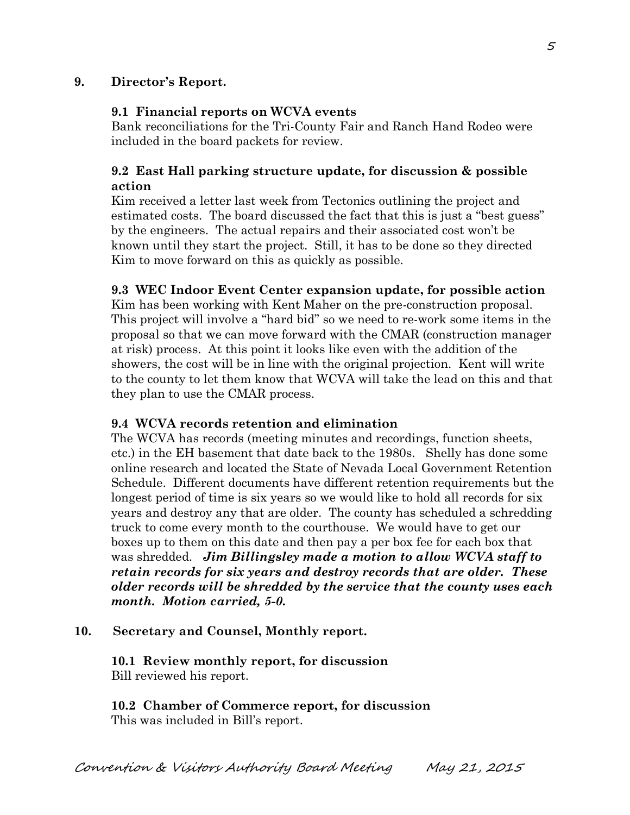## **9. Director's Report.**

#### **9.1 Financial reports on WCVA events**

Bank reconciliations for the Tri-County Fair and Ranch Hand Rodeo were included in the board packets for review.

## **9.2 East Hall parking structure update, for discussion & possible action**

Kim received a letter last week from Tectonics outlining the project and estimated costs. The board discussed the fact that this is just a "best guess" by the engineers. The actual repairs and their associated cost won't be known until they start the project. Still, it has to be done so they directed Kim to move forward on this as quickly as possible.

#### **9.3 WEC Indoor Event Center expansion update, for possible action**

Kim has been working with Kent Maher on the pre-construction proposal. This project will involve a "hard bid" so we need to re-work some items in the proposal so that we can move forward with the CMAR (construction manager at risk) process. At this point it looks like even with the addition of the showers, the cost will be in line with the original projection. Kent will write to the county to let them know that WCVA will take the lead on this and that they plan to use the CMAR process.

#### **9.4 WCVA records retention and elimination**

The WCVA has records (meeting minutes and recordings, function sheets, etc.) in the EH basement that date back to the 1980s. Shelly has done some online research and located the State of Nevada Local Government Retention Schedule. Different documents have different retention requirements but the longest period of time is six years so we would like to hold all records for six years and destroy any that are older. The county has scheduled a schredding truck to come every month to the courthouse. We would have to get our boxes up to them on this date and then pay a per box fee for each box that was shredded. *Jim Billingsley made a motion to allow WCVA staff to retain records for six years and destroy records that are older. These older records will be shredded by the service that the county uses each month. Motion carried, 5-0.* 

### **10. Secretary and Counsel, Monthly report.**

**10.1 Review monthly report, for discussion**  Bill reviewed his report.

**10.2 Chamber of Commerce report, for discussion**  This was included in Bill's report.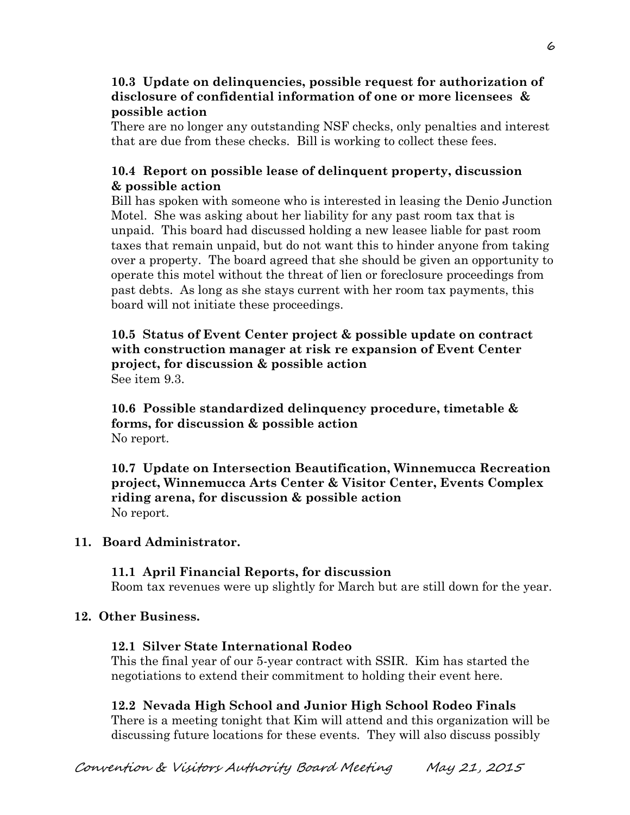## **10.3 Update on delinquencies, possible request for authorization of disclosure of confidential information of one or more licensees & possible action**

There are no longer any outstanding NSF checks, only penalties and interest that are due from these checks. Bill is working to collect these fees.

# **10.4 Report on possible lease of delinquent property, discussion & possible action**

Bill has spoken with someone who is interested in leasing the Denio Junction Motel. She was asking about her liability for any past room tax that is unpaid. This board had discussed holding a new leasee liable for past room taxes that remain unpaid, but do not want this to hinder anyone from taking over a property. The board agreed that she should be given an opportunity to operate this motel without the threat of lien or foreclosure proceedings from past debts. As long as she stays current with her room tax payments, this board will not initiate these proceedings.

### **10.5 Status of Event Center project & possible update on contract with construction manager at risk re expansion of Event Center project, for discussion & possible action**  See item 9.3.

 **10.6 Possible standardized delinquency procedure, timetable & forms, for discussion & possible action**  No report.

**10.7 Update on Intersection Beautification, Winnemucca Recreation project, Winnemucca Arts Center & Visitor Center, Events Complex riding arena, for discussion & possible action**  No report.

# **11. Board Administrator.**

# **11.1 April Financial Reports, for discussion**

Room tax revenues were up slightly for March but are still down for the year.

# **12. Other Business.**

### **12.1 Silver State International Rodeo**

This the final year of our 5-year contract with SSIR. Kim has started the negotiations to extend their commitment to holding their event here.

# **12.2 Nevada High School and Junior High School Rodeo Finals**

There is a meeting tonight that Kim will attend and this organization will be discussing future locations for these events. They will also discuss possibly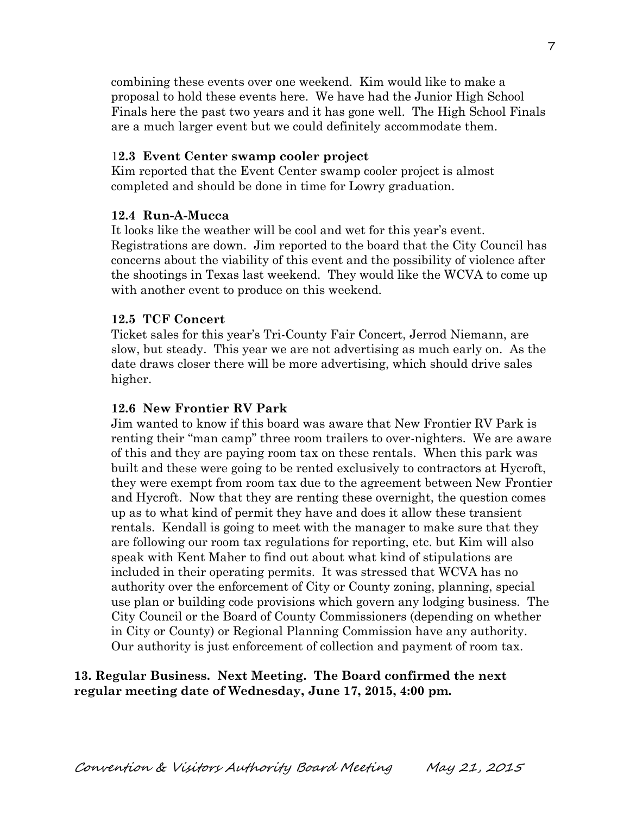combining these events over one weekend. Kim would like to make a proposal to hold these events here. We have had the Junior High School Finals here the past two years and it has gone well. The High School Finals are a much larger event but we could definitely accommodate them.

#### 1**2.3 Event Center swamp cooler project**

 Kim reported that the Event Center swamp cooler project is almost completed and should be done in time for Lowry graduation.

#### **12.4 Run-A-Mucca**

It looks like the weather will be cool and wet for this year's event. Registrations are down. Jim reported to the board that the City Council has concerns about the viability of this event and the possibility of violence after the shootings in Texas last weekend. They would like the WCVA to come up with another event to produce on this weekend.

#### **12.5 TCF Concert**

 Ticket sales for this year's Tri-County Fair Concert, Jerrod Niemann, are slow, but steady. This year we are not advertising as much early on. As the date draws closer there will be more advertising, which should drive sales higher.

#### **12.6 New Frontier RV Park**

Jim wanted to know if this board was aware that New Frontier RV Park is renting their "man camp" three room trailers to over-nighters. We are aware of this and they are paying room tax on these rentals. When this park was built and these were going to be rented exclusively to contractors at Hycroft, they were exempt from room tax due to the agreement between New Frontier and Hycroft. Now that they are renting these overnight, the question comes up as to what kind of permit they have and does it allow these transient rentals. Kendall is going to meet with the manager to make sure that they are following our room tax regulations for reporting, etc. but Kim will also speak with Kent Maher to find out about what kind of stipulations are included in their operating permits. It was stressed that WCVA has no authority over the enforcement of City or County zoning, planning, special use plan or building code provisions which govern any lodging business. The City Council or the Board of County Commissioners (depending on whether in City or County) or Regional Planning Commission have any authority. Our authority is just enforcement of collection and payment of room tax.

#### **13. Regular Business. Next Meeting. The Board confirmed the next regular meeting date of Wednesday, June 17, 2015, 4:00 pm.**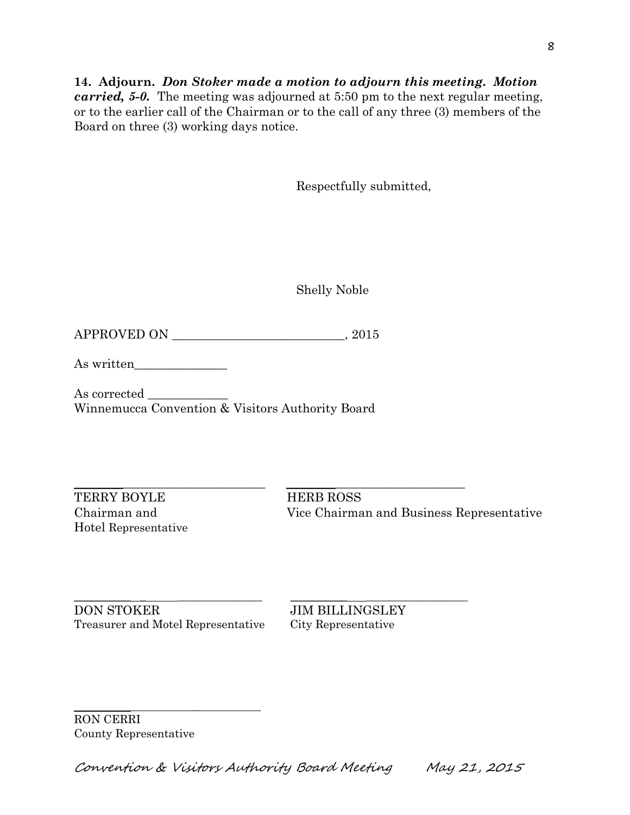### **14. Adjourn.** *Don Stoker made a motion to adjourn this meeting. Motion carried, 5-0.* The meeting was adjourned at 5:50 pm to the next regular meeting, or to the earlier call of the Chairman or to the call of any three (3) members of the Board on three (3) working days notice.

Respectfully submitted,

Shelly Noble

APPROVED ON \_\_\_\_\_\_\_\_\_\_\_\_\_\_\_\_\_\_\_\_\_\_\_\_\_\_\_\_, 2015

As written\_\_\_\_\_\_\_\_\_\_\_\_\_\_\_

As corrected \_\_\_\_\_\_\_\_\_\_\_\_\_ Winnemucca Convention & Visitors Authority Board

TERRY BOYLE HERB ROSS Hotel Representative

 $\_$  ,  $\_$  ,  $\_$  ,  $\_$  ,  $\_$  ,  $\_$  ,  $\_$  ,  $\_$  ,  $\_$  ,  $\_$  ,  $\_$  ,  $\_$  ,  $\_$  ,  $\_$  ,  $\_$  ,  $\_$  ,  $\_$  ,  $\_$  ,  $\_$  ,  $\_$  ,  $\_$  ,  $\_$  ,  $\_$  ,  $\_$  ,  $\_$  ,  $\_$  ,  $\_$  ,  $\_$  ,  $\_$  ,  $\_$  ,  $\_$  ,  $\_$  ,  $\_$  ,  $\_$  ,  $\_$  ,  $\_$  ,  $\_$  , Chairman and Vice Chairman and Business Representative

\_\_\_\_\_\_\_\_\_\_ \_ \_\_\_\_\_\_\_\_\_\_\_\_\_\_\_ \_\_\_\_\_\_\_\_\_\_ \_\_\_\_\_\_\_\_\_\_\_\_\_\_\_\_\_\_ DON STOKER JIM BILLINGSLEY Treasurer and Motel Representative City Representative

\_\_\_\_\_\_\_\_\_\_\_\_\_\_\_\_\_\_\_\_\_\_\_\_\_\_\_\_\_\_\_\_\_

RON CERRI County Representative